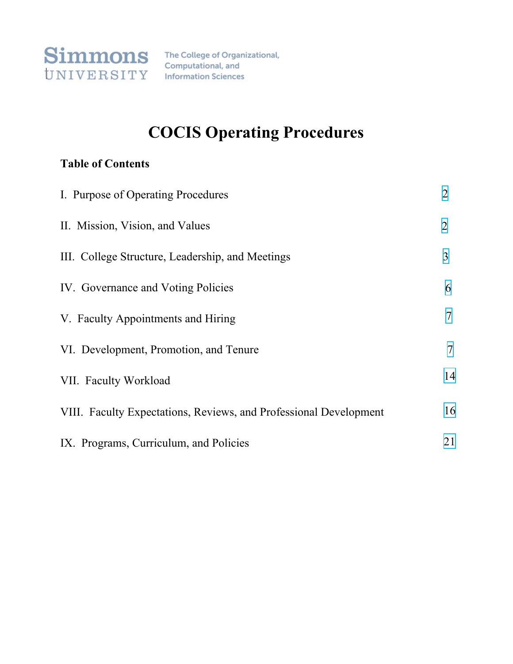

Computational, and **Information Sciences** 

# **COCIS Operating Procedures**

# **Table of Contents**

| I. Purpose of Operating Procedures                                | $\overline{2}$ |
|-------------------------------------------------------------------|----------------|
| II. Mission, Vision, and Values                                   | $\overline{2}$ |
| III. College Structure, Leadership, and Meetings                  | 3              |
| IV. Governance and Voting Policies                                | 6              |
| V. Faculty Appointments and Hiring                                | 7              |
| VI. Development, Promotion, and Tenure                            | $\tau$         |
| VII. Faculty Workload                                             | 14             |
| VIII. Faculty Expectations, Reviews, and Professional Development | 16             |
| IX. Programs, Curriculum, and Policies                            | 21             |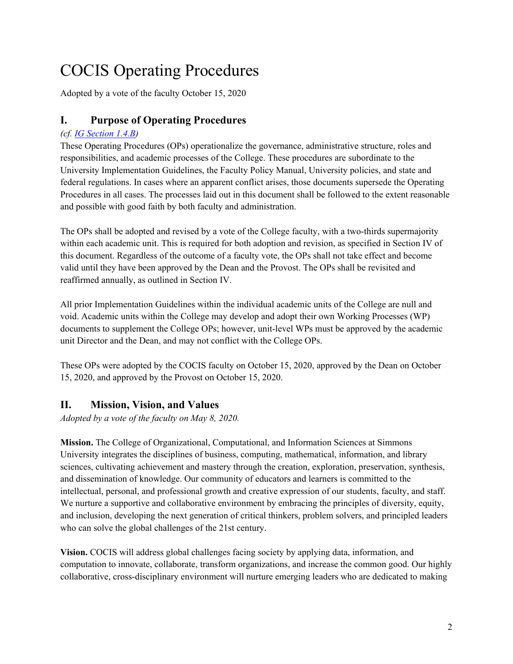# <span id="page-1-0"></span>COCIS Operating Procedures

Adopted by a vote of the faculty October 15, 2020

# **I. Purpose of Operating Procedures**

# *(cf. [IG Section 1.4.B\)](https://internal.simmons.edu/wp-content/uploads/2020/05/Implementation-Guidelines-2020.pdf#page=5)*

These Operating Procedures (OPs) operationalize the governance, administrative structure, roles and responsibilities, and academic processes of the College. These procedures are subordinate to the University Implementation Guidelines, the Faculty Policy Manual, University policies, and state and federal regulations. In cases where an apparent conflict arises, those documents supersede the Operating Procedures in all cases. The processes laid out in this document shall be followed to the extent reasonable and possible with good faith by both faculty and administration.

The OPs shall be adopted and revised by a vote of the College faculty, with a two-thirds supermajority within each academic unit. This is required for both adoption and revision, as specified in Section IV of this document. Regardless of the outcome of a faculty vote, the OPs shall not take effect and become valid until they have been approved by the Dean and the Provost. The OPs shall be revisited and reaffirmed annually, as outlined in Section IV.

All prior Implementation Guidelines within the individual academic units of the College are null and void. Academic units within the College may develop and adopt their own Working Processes (WP) documents to supplement the College OPs; however, unit-level WPs must be approved by the academic unit Director and the Dean, and may not conflict with the College OPs.

These OPs were adopted by the COCIS faculty on October 15, 2020, approved by the Dean on October 15, 2020, and approved by the Provost on October 15, 2020.

# **II. Mission, Vision, and Values**

*Adopted by a vote of the faculty on May 8, 2020.*

**Mission.** The College of Organizational, Computational, and Information Sciences at Simmons University integrates the disciplines of business, computing, mathematical, information, and library sciences, cultivating achievement and mastery through the creation, exploration, preservation, synthesis, and dissemination of knowledge. Our community of educators and learners is committed to the intellectual, personal, and professional growth and creative expression of our students, faculty, and staff. We nurture a supportive and collaborative environment by embracing the principles of diversity, equity, and inclusion, developing the next generation of critical thinkers, problem solvers, and principled leaders who can solve the global challenges of the 21st century.

**Vision.** COCIS will address global challenges facing society by applying data, information, and computation to innovate, collaborate, transform organizations, and increase the common good. Our highly collaborative, cross-disciplinary environment will nurture emerging leaders who are dedicated to making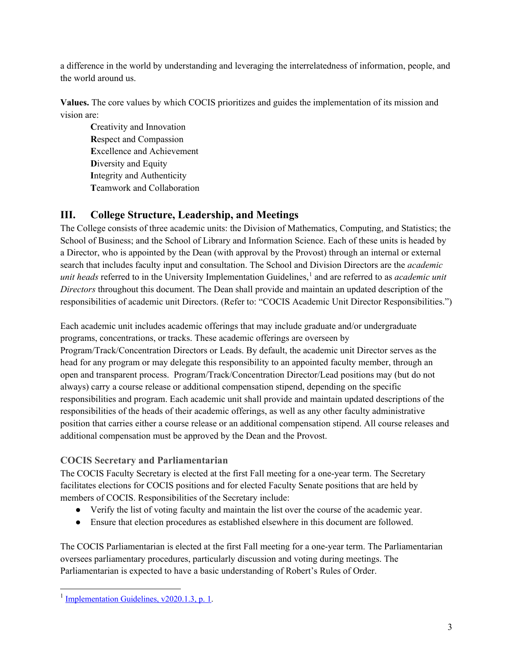<span id="page-2-0"></span>a difference in the world by understanding and leveraging the interrelatedness of information, people, and the world around us.

**Values.** The core values by which COCIS prioritizes and guides the implementation of its mission and vision are:

**C**reativity and Innovation **R**espect and Compassion **E**xcellence and Achievement **D**iversity and Equity **I**ntegrity and Authenticity **T**eamwork and Collaboration

# **III. College Structure, Leadership, and Meetings**

The College consists of three academic units: the Division of Mathematics, Computing, and Statistics; the School of Business; and the School of Library and Information Science. Each of these units is headed by a Director, who is appointed by the Dean (with approval by the Provost) through an internal or external search that includes faculty input and consultation. The School and Division Directors are the *academic unit heads* referred to in the University Implementation Guidelines,<sup>[1](#page-2-1)</sup> and are referred to as *academic unit Directors* throughout this document. The Dean shall provide and maintain an updated description of the responsibilities of academic unit Directors. (Refer to: "COCIS Academic Unit Director Responsibilities.")

Each academic unit includes academic offerings that may include graduate and/or undergraduate programs, concentrations, or tracks. These academic offerings are overseen by Program/Track/Concentration Directors or Leads. By default, the academic unit Director serves as the head for any program or may delegate this responsibility to an appointed faculty member, through an open and transparent process. Program/Track/Concentration Director/Lead positions may (but do not always) carry a course release or additional compensation stipend, depending on the specific responsibilities and program. Each academic unit shall provide and maintain updated descriptions of the responsibilities of the heads of their academic offerings, as well as any other faculty administrative position that carries either a course release or an additional compensation stipend. All course releases and additional compensation must be approved by the Dean and the Provost.

# **COCIS Secretary and Parliamentarian**

The COCIS Faculty Secretary is elected at the first Fall meeting for a one-year term. The Secretary facilitates elections for COCIS positions and for elected Faculty Senate positions that are held by members of COCIS. Responsibilities of the Secretary include:

- Verify the list of voting faculty and maintain the list over the course of the academic year.
- Ensure that election procedures as established elsewhere in this document are followed.

The COCIS Parliamentarian is elected at the first Fall meeting for a one-year term. The Parliamentarian oversees parliamentary procedures, particularly discussion and voting during meetings. The Parliamentarian is expected to have a basic understanding of Robert's Rules of Order.

<span id="page-2-1"></span><sup>&</sup>lt;sup>1</sup> [Implementation Guidelines, v2020.1.3, p. 1.](https://internal.simmons.edu/wp-content/uploads/2020/05/Implementation-Guidelines-2020.pdf#page=4)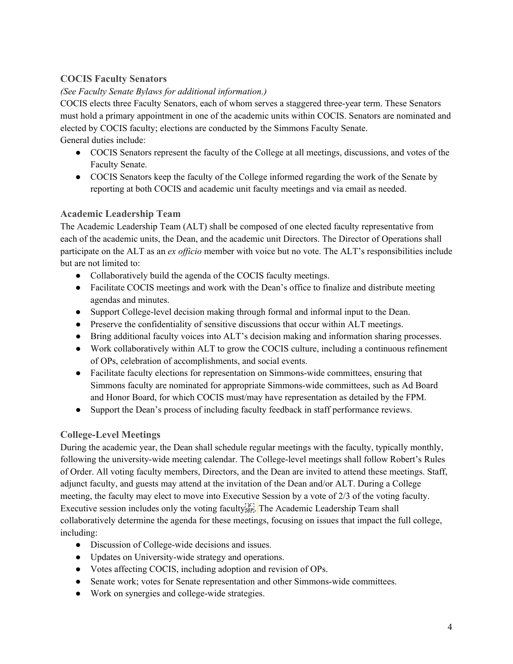# **COCIS Faculty Senators**

#### *(See Faculty Senate Bylaws for additional information.)*

COCIS elects three Faculty Senators, each of whom serves a staggered three-year term. These Senators must hold a primary appointment in one of the academic units within COCIS. Senators are nominated and elected by COCIS faculty; elections are conducted by the Simmons Faculty Senate. General duties include:

- COCIS Senators represent the faculty of the College at all meetings, discussions, and votes of the Faculty Senate.
- COCIS Senators keep the faculty of the College informed regarding the work of the Senate by reporting at both COCIS and academic unit faculty meetings and via email as needed.

#### **Academic Leadership Team**

The Academic Leadership Team (ALT) shall be composed of one elected faculty representative from each of the academic units, the Dean, and the academic unit Directors. The Director of Operations shall participate on the ALT as an *ex officio* member with voice but no vote. The ALT's responsibilities include but are not limited to:

- Collaboratively build the agenda of the COCIS faculty meetings.
- Facilitate COCIS meetings and work with the Dean's office to finalize and distribute meeting agendas and minutes.
- Support College-level decision making through formal and informal input to the Dean.
- Preserve the confidentiality of sensitive discussions that occur within ALT meetings.
- Bring additional faculty voices into ALT's decision making and information sharing processes.
- Work collaboratively within ALT to grow the COCIS culture, including a continuous refinement of OPs, celebration of accomplishments, and social events.
- Facilitate faculty elections for representation on Simmons-wide committees, ensuring that Simmons faculty are nominated for appropriate Simmons-wide committees, such as Ad Board and Honor Board, for which COCIS must/may have representation as detailed by the FPM.
- Support the Dean's process of including faculty feedback in staff performance reviews.

# **College-Level Meetings**

During the academic year, the Dean shall schedule regular meetings with the faculty, typically monthly, following the university-wide meeting calendar. The College-level meetings shall follow Robert's Rules of Order. All voting faculty members, Directors, and the Dean are invited to attend these meetings. Staff, adjunct faculty, and guests may attend at the invitation of the Dean and/or ALT. During a College meeting, the faculty may elect to move into Executive Session by a vote of 2/3 of the voting faculty. Executive session includes only the voting faculty<sup>[p]</sup>. The Academic Leadership Team shall collaboratively determine the agenda for these meetings, focusing on issues that impact the full college, including:

- Discussion of College-wide decisions and issues.
- Updates on University-wide strategy and operations.
- Votes affecting COCIS, including adoption and revision of OPs.
- Senate work; votes for Senate representation and other Simmons-wide committees.
- Work on synergies and college-wide strategies.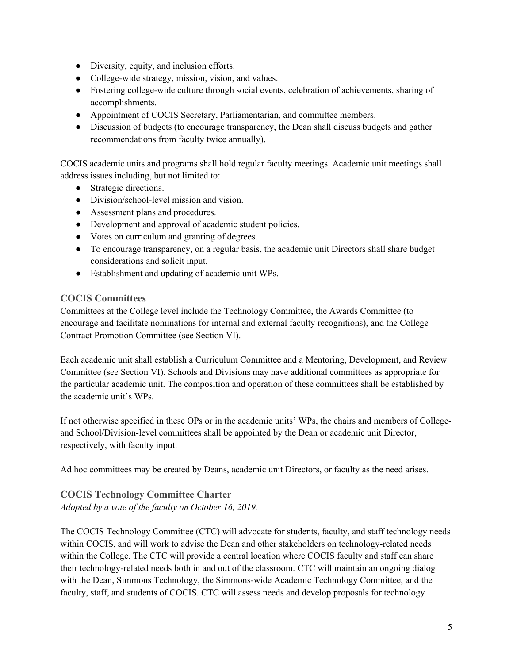- Diversity, equity, and inclusion efforts.
- College-wide strategy, mission, vision, and values.
- Fostering college-wide culture through social events, celebration of achievements, sharing of accomplishments.
- Appointment of COCIS Secretary, Parliamentarian, and committee members.
- Discussion of budgets (to encourage transparency, the Dean shall discuss budgets and gather recommendations from faculty twice annually).

COCIS academic units and programs shall hold regular faculty meetings. Academic unit meetings shall address issues including, but not limited to:

- Strategic directions.
- Division/school-level mission and vision.
- Assessment plans and procedures.
- Development and approval of academic student policies.
- Votes on curriculum and granting of degrees.
- To encourage transparency, on a regular basis, the academic unit Directors shall share budget considerations and solicit input.
- Establishment and updating of academic unit WPs.

#### **COCIS Committees**

Committees at the College level include the Technology Committee, the Awards Committee (to encourage and facilitate nominations for internal and external faculty recognitions), and the College Contract Promotion Committee (see Section VI).

Each academic unit shall establish a Curriculum Committee and a Mentoring, Development, and Review Committee (see Section VI). Schools and Divisions may have additional committees as appropriate for the particular academic unit. The composition and operation of these committees shall be established by the academic unit's WPs.

If not otherwise specified in these OPs or in the academic units' WPs, the chairs and members of Collegeand School/Division-level committees shall be appointed by the Dean or academic unit Director, respectively, with faculty input.

Ad hoc committees may be created by Deans, academic unit Directors, or faculty as the need arises.

# **COCIS Technology Committee Charter**

*Adopted by a vote of the faculty on October 16, 2019.*

The COCIS Technology Committee (CTC) will advocate for students, faculty, and staff technology needs within COCIS, and will work to advise the Dean and other stakeholders on technology-related needs within the College. The CTC will provide a central location where COCIS faculty and staff can share their technology-related needs both in and out of the classroom. CTC will maintain an ongoing dialog with the Dean, Simmons Technology, the Simmons-wide Academic Technology Committee, and the faculty, staff, and students of COCIS. CTC will assess needs and develop proposals for technology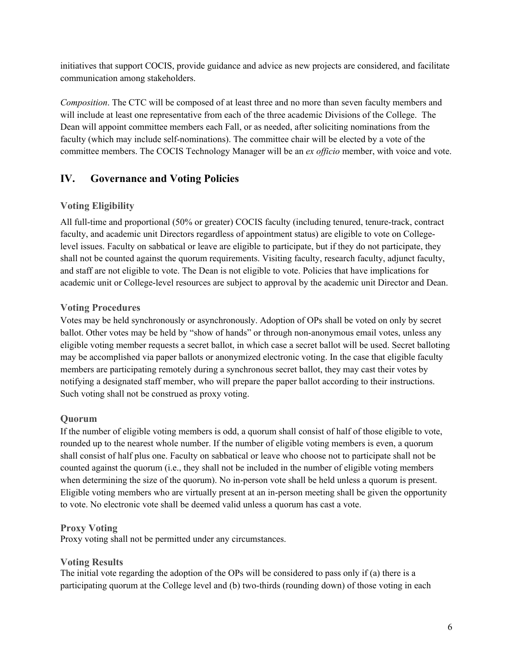<span id="page-5-0"></span>initiatives that support COCIS, provide guidance and advice as new projects are considered, and facilitate communication among stakeholders.

*Composition*. The CTC will be composed of at least three and no more than seven faculty members and will include at least one representative from each of the three academic Divisions of the College. The Dean will appoint committee members each Fall, or as needed, after soliciting nominations from the faculty (which may include self-nominations). The committee chair will be elected by a vote of the committee members. The COCIS Technology Manager will be an *ex officio* member, with voice and vote.

# **IV. Governance and Voting Policies**

# **Voting Eligibility**

All full-time and proportional (50% or greater) COCIS faculty (including tenured, tenure-track, contract faculty, and academic unit Directors regardless of appointment status) are eligible to vote on Collegelevel issues. Faculty on sabbatical or leave are eligible to participate, but if they do not participate, they shall not be counted against the quorum requirements. Visiting faculty, research faculty, adjunct faculty, and staff are not eligible to vote. The Dean is not eligible to vote. Policies that have implications for academic unit or College-level resources are subject to approval by the academic unit Director and Dean.

# **Voting Procedures**

Votes may be held synchronously or asynchronously. Adoption of OPs shall be voted on only by secret ballot. Other votes may be held by "show of hands" or through non-anonymous email votes, unless any eligible voting member requests a secret ballot, in which case a secret ballot will be used. Secret balloting may be accomplished via paper ballots or anonymized electronic voting. In the case that eligible faculty members are participating remotely during a synchronous secret ballot, they may cast their votes by notifying a designated staff member, who will prepare the paper ballot according to their instructions. Such voting shall not be construed as proxy voting.

# **Quorum**

If the number of eligible voting members is odd, a quorum shall consist of half of those eligible to vote, rounded up to the nearest whole number. If the number of eligible voting members is even, a quorum shall consist of half plus one. Faculty on sabbatical or leave who choose not to participate shall not be counted against the quorum (i.e., they shall not be included in the number of eligible voting members when determining the size of the quorum). No in-person vote shall be held unless a quorum is present. Eligible voting members who are virtually present at an in-person meeting shall be given the opportunity to vote. No electronic vote shall be deemed valid unless a quorum has cast a vote.

# **Proxy Voting**

Proxy voting shall not be permitted under any circumstances.

# **Voting Results**

The initial vote regarding the adoption of the OPs will be considered to pass only if (a) there is a participating quorum at the College level and (b) two-thirds (rounding down) of those voting in each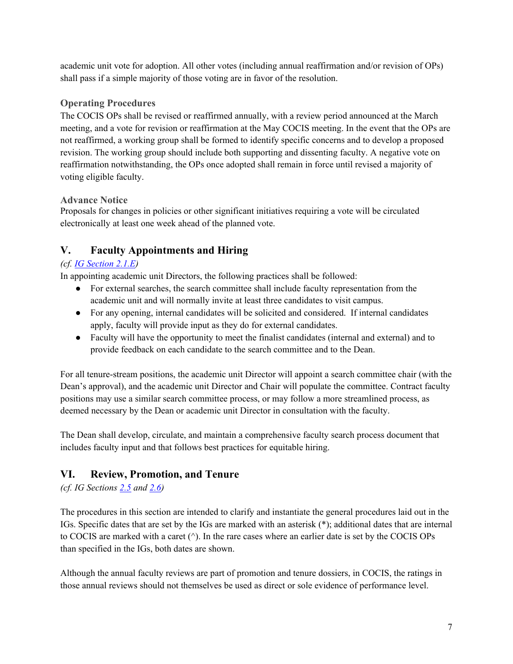<span id="page-6-0"></span>academic unit vote for adoption. All other votes (including annual reaffirmation and/or revision of OPs) shall pass if a simple majority of those voting are in favor of the resolution.

# **Operating Procedures**

The COCIS OPs shall be revised or reaffirmed annually, with a review period announced at the March meeting, and a vote for revision or reaffirmation at the May COCIS meeting. In the event that the OPs are not reaffirmed, a working group shall be formed to identify specific concerns and to develop a proposed revision. The working group should include both supporting and dissenting faculty. A negative vote on reaffirmation notwithstanding, the OPs once adopted shall remain in force until revised a majority of voting eligible faculty.

# **Advance Notice**

Proposals for changes in policies or other significant initiatives requiring a vote will be circulated electronically at least one week ahead of the planned vote.

# **V. Faculty Appointments and Hiring**

# *(cf. [IG Section 2.1.E\)](https://internal.simmons.edu/wp-content/uploads/2020/05/Implementation-Guidelines-2020.pdf#page=10)*

In appointing academic unit Directors, the following practices shall be followed:

- For external searches, the search committee shall include faculty representation from the academic unit and will normally invite at least three candidates to visit campus.
- For any opening, internal candidates will be solicited and considered. If internal candidates apply, faculty will provide input as they do for external candidates.
- Faculty will have the opportunity to meet the finalist candidates (internal and external) and to provide feedback on each candidate to the search committee and to the Dean.

For all tenure-stream positions, the academic unit Director will appoint a search committee chair (with the Dean's approval), and the academic unit Director and Chair will populate the committee. Contract faculty positions may use a similar search committee process, or may follow a more streamlined process, as deemed necessary by the Dean or academic unit Director in consultation with the faculty.

The Dean shall develop, circulate, and maintain a comprehensive faculty search process document that includes faculty input and that follows best practices for equitable hiring.

# **VI. Review, Promotion, and Tenure**

# *(cf. IG Sections [2.5](https://internal.simmons.edu/wp-content/uploads/2020/05/Implementation-Guidelines-2020.pdf#page=13) and [2.6\)](https://internal.simmons.edu/wp-content/uploads/2020/05/Implementation-Guidelines-2020.pdf#page=27)*

The procedures in this section are intended to clarify and instantiate the general procedures laid out in the IGs. Specific dates that are set by the IGs are marked with an asterisk (\*); additional dates that are internal to COCIS are marked with a caret (^). In the rare cases where an earlier date is set by the COCIS OPs than specified in the IGs, both dates are shown.

Although the annual faculty reviews are part of promotion and tenure dossiers, in COCIS, the ratings in those annual reviews should not themselves be used as direct or sole evidence of performance level.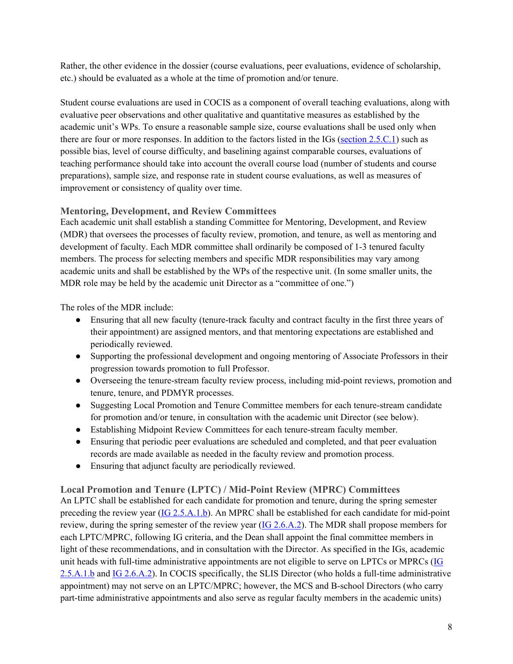Rather, the other evidence in the dossier (course evaluations, peer evaluations, evidence of scholarship, etc.) should be evaluated as a whole at the time of promotion and/or tenure.

Student course evaluations are used in COCIS as a component of overall teaching evaluations, along with evaluative peer observations and other qualitative and quantitative measures as established by the academic unit's WPs. To ensure a reasonable sample size, course evaluations shall be used only when there are four or more responses. In addition to the factors listed in the IGs [\(section 2.5.C.1\)](https://internal.simmons.edu/wp-content/uploads/2020/05/Implementation-Guidelines-2020.pdf#page=14) such as possible bias, level of course difficulty, and baselining against comparable courses, evaluations of teaching performance should take into account the overall course load (number of students and course preparations), sample size, and response rate in student course evaluations, as well as measures of improvement or consistency of quality over time.

#### **Mentoring, Development, and Review Committees**

Each academic unit shall establish a standing Committee for Mentoring, Development, and Review (MDR) that oversees the processes of faculty review, promotion, and tenure, as well as mentoring and development of faculty. Each MDR committee shall ordinarily be composed of 1-3 tenured faculty members. The process for selecting members and specific MDR responsibilities may vary among academic units and shall be established by the WPs of the respective unit. (In some smaller units, the MDR role may be held by the academic unit Director as a "committee of one.")

The roles of the MDR include:

- Ensuring that all new faculty (tenure-track faculty and contract faculty in the first three years of their appointment) are assigned mentors, and that mentoring expectations are established and periodically reviewed.
- Supporting the professional development and ongoing mentoring of Associate Professors in their progression towards promotion to full Professor.
- Overseeing the tenure-stream faculty review process, including mid-point reviews, promotion and tenure, tenure, and PDMYR processes.
- Suggesting Local Promotion and Tenure Committee members for each tenure-stream candidate for promotion and/or tenure, in consultation with the academic unit Director (see below).
- Establishing Midpoint Review Committees for each tenure-stream faculty member.
- Ensuring that periodic peer evaluations are scheduled and completed, and that peer evaluation records are made available as needed in the faculty review and promotion process.
- Ensuring that adjunct faculty are periodically reviewed.

**Local Promotion and Tenure (LPTC) / Mid-Point Review (MPRC) Committees** 

An LPTC shall be established for each candidate for promotion and tenure, during the spring semester preceding the review year [\(IG 2.5.A.1.b\)](https://internal.simmons.edu/wp-content/uploads/2020/05/Implementation-Guidelines-2020.pdf#page=13). An MPRC shall be established for each candidate for mid-point review, during the spring semester of the review year  $(IG\ 2.6.A.2)$ . The MDR shall propose members for each LPTC/MPRC, following IG criteria, and the Dean shall appoint the final committee members in light of these recommendations, and in consultation with the Director. As specified in the IGs, academic unit heads with full-time administrative appointments are not eligible to serve on LPTCs or MPRCs [\(IG](https://internal.simmons.edu/wp-content/uploads/2020/05/Implementation-Guidelines-2020.pdf#page=13)  [2.5.A.1.b](https://internal.simmons.edu/wp-content/uploads/2020/05/Implementation-Guidelines-2020.pdf#page=13) and [IG 2.6.A.2\)](https://internal.simmons.edu/wp-content/uploads/2020/05/Implementation-Guidelines-2020.pdf#page=27). In COCIS specifically, the SLIS Director (who holds a full-time administrative appointment) may not serve on an LPTC/MPRC; however, the MCS and B-school Directors (who carry part-time administrative appointments and also serve as regular faculty members in the academic units)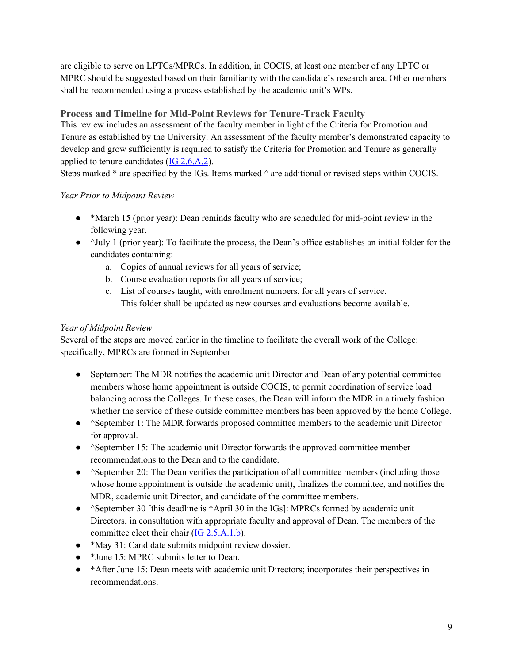are eligible to serve on LPTCs/MPRCs. In addition, in COCIS, at least one member of any LPTC or MPRC should be suggested based on their familiarity with the candidate's research area. Other members shall be recommended using a process established by the academic unit's WPs.

# **Process and Timeline for Mid-Point Reviews for Tenure-Track Faculty**

This review includes an assessment of the faculty member in light of the Criteria for Promotion and Tenure as established by the University. An assessment of the faculty member's demonstrated capacity to develop and grow sufficiently is required to satisfy the Criteria for Promotion and Tenure as generally applied to tenure candidates  $(IG 2.6.A.2)$ .

Steps marked  $*$  are specified by the IGs. Items marked  $\land$  are additional or revised steps within COCIS.

#### *Year Prior to Midpoint Review*

- \*March 15 (prior year): Dean reminds faculty who are scheduled for mid-point review in the following year.
- $\bullet$   $\land$ July 1 (prior year): To facilitate the process, the Dean's office establishes an initial folder for the candidates containing:
	- a. Copies of annual reviews for all years of service;
	- b. Course evaluation reports for all years of service;
	- c. List of courses taught, with enrollment numbers, for all years of service. This folder shall be updated as new courses and evaluations become available.

## *Year of Midpoint Review*

Several of the steps are moved earlier in the timeline to facilitate the overall work of the College: specifically, MPRCs are formed in September

- September: The MDR notifies the academic unit Director and Dean of any potential committee members whose home appointment is outside COCIS, to permit coordination of service load balancing across the Colleges. In these cases, the Dean will inform the MDR in a timely fashion whether the service of these outside committee members has been approved by the home College.
- ^September 1: The MDR forwards proposed committee members to the academic unit Director for approval.
- ^September 15: The academic unit Director forwards the approved committee member recommendations to the Dean and to the candidate.
- ^September 20: The Dean verifies the participation of all committee members (including those whose home appointment is outside the academic unit), finalizes the committee, and notifies the MDR, academic unit Director, and candidate of the committee members.
- $\triangle$  ^September 30 [this deadline is \*April 30 in the IGs]: MPRCs formed by academic unit Directors, in consultation with appropriate faculty and approval of Dean. The members of the committee elect their chair [\(IG 2.5.A.1.b\)](https://internal.simmons.edu/wp-content/uploads/2020/05/Implementation-Guidelines-2020.pdf#page=13).
- \*May 31: Candidate submits midpoint review dossier.
- \*June 15: MPRC submits letter to Dean.
- \*After June 15: Dean meets with academic unit Directors; incorporates their perspectives in recommendations.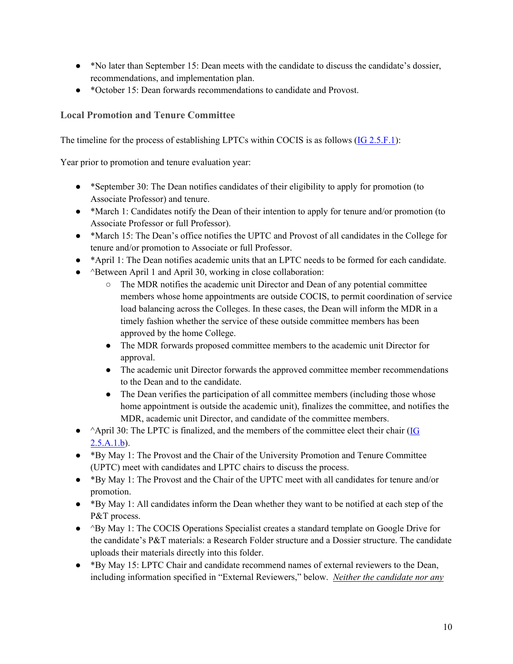- \*No later than September 15: Dean meets with the candidate to discuss the candidate's dossier, recommendations, and implementation plan.
- \*October 15: Dean forwards recommendations to candidate and Provost.

## **Local Promotion and Tenure Committee**

The timeline for the process of establishing LPTCs within COCIS is as follows [\(IG 2.5.F.1\)](https://internal.simmons.edu/wp-content/uploads/2020/05/Implementation-Guidelines-2020.pdf#page=19):

Year prior to promotion and tenure evaluation year:

- \*September 30: The Dean notifies candidates of their eligibility to apply for promotion (to Associate Professor) and tenure.
- \*March 1: Candidates notify the Dean of their intention to apply for tenure and/or promotion (to Associate Professor or full Professor).
- \*March 15: The Dean's office notifies the UPTC and Provost of all candidates in the College for tenure and/or promotion to Associate or full Professor.
- \*April 1: The Dean notifies academic units that an LPTC needs to be formed for each candidate.
- ^Between April 1 and April 30, working in close collaboration:
	- The MDR notifies the academic unit Director and Dean of any potential committee members whose home appointments are outside COCIS, to permit coordination of service load balancing across the Colleges. In these cases, the Dean will inform the MDR in a timely fashion whether the service of these outside committee members has been approved by the home College.
	- The MDR forwards proposed committee members to the academic unit Director for approval.
	- The academic unit Director forwards the approved committee member recommendations to the Dean and to the candidate.
	- The Dean verifies the participation of all committee members (including those whose home appointment is outside the academic unit), finalizes the committee, and notifies the MDR, academic unit Director, and candidate of the committee members.
- ^April 30: The LPTC is finalized, and the members of the committee elect their chair (IG  $2.5.A.1.b$ .
- \*By May 1: The Provost and the Chair of the University Promotion and Tenure Committee (UPTC) meet with candidates and LPTC chairs to discuss the process.
- \*By May 1: The Provost and the Chair of the UPTC meet with all candidates for tenure and/or promotion.
- \*By May 1: All candidates inform the Dean whether they want to be notified at each step of the P&T process.
- ^By May 1: The COCIS Operations Specialist creates a standard template on Google Drive for the candidate's P&T materials: a Research Folder structure and a Dossier structure. The candidate uploads their materials directly into this folder.
- \*By May 15: LPTC Chair and candidate recommend names of external reviewers to the Dean, including information specified in "External Reviewers," below. *Neither the candidate nor any*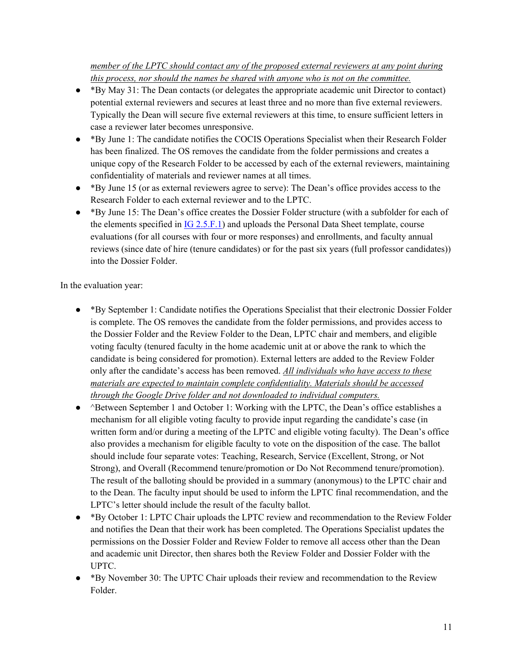#### *member of the LPTC should contact any of the proposed external reviewers at any point during this process, nor should the names be shared with anyone who is not on the committee.*

- \*By May 31: The Dean contacts (or delegates the appropriate academic unit Director to contact) potential external reviewers and secures at least three and no more than five external reviewers. Typically the Dean will secure five external reviewers at this time, to ensure sufficient letters in case a reviewer later becomes unresponsive.
- \*By June 1: The candidate notifies the COCIS Operations Specialist when their Research Folder has been finalized. The OS removes the candidate from the folder permissions and creates a unique copy of the Research Folder to be accessed by each of the external reviewers, maintaining confidentiality of materials and reviewer names at all times.
- \*By June 15 (or as external reviewers agree to serve): The Dean's office provides access to the Research Folder to each external reviewer and to the LPTC.
- \*By June 15: The Dean's office creates the Dossier Folder structure (with a subfolder for each of the elements specified in  $IG 2.5.F.1$  and uploads the Personal Data Sheet template, course evaluations (for all courses with four or more responses) and enrollments, and faculty annual reviews (since date of hire (tenure candidates) or for the past six years (full professor candidates)) into the Dossier Folder.

In the evaluation year:

- \*By September 1: Candidate notifies the Operations Specialist that their electronic Dossier Folder is complete. The OS removes the candidate from the folder permissions, and provides access to the Dossier Folder and the Review Folder to the Dean, LPTC chair and members, and eligible voting faculty (tenured faculty in the home academic unit at or above the rank to which the candidate is being considered for promotion). External letters are added to the Review Folder only after the candidate's access has been removed. *All individuals who have access to these materials are expected to maintain complete confidentiality. Materials should be accessed through the Google Drive folder and not downloaded to individual computers.*
- ^Between September 1 and October 1: Working with the LPTC, the Dean's office establishes a mechanism for all eligible voting faculty to provide input regarding the candidate's case (in written form and/or during a meeting of the LPTC and eligible voting faculty). The Dean's office also provides a mechanism for eligible faculty to vote on the disposition of the case. The ballot should include four separate votes: Teaching, Research, Service (Excellent, Strong, or Not Strong), and Overall (Recommend tenure/promotion or Do Not Recommend tenure/promotion). The result of the balloting should be provided in a summary (anonymous) to the LPTC chair and to the Dean. The faculty input should be used to inform the LPTC final recommendation, and the LPTC's letter should include the result of the faculty ballot.
- \*By October 1: LPTC Chair uploads the LPTC review and recommendation to the Review Folder and notifies the Dean that their work has been completed. The Operations Specialist updates the permissions on the Dossier Folder and Review Folder to remove all access other than the Dean and academic unit Director, then shares both the Review Folder and Dossier Folder with the UPTC.
- \*By November 30: The UPTC Chair uploads their review and recommendation to the Review Folder.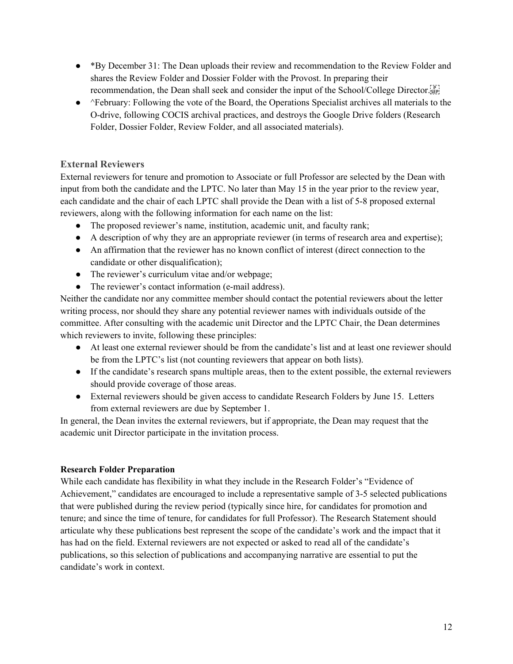- \*By December 31: The Dean uploads their review and recommendation to the Review Folder and shares the Review Folder and Dossier Folder with the Provost. In preparing their recommendation, the Dean shall seek and consider the input of the School/College Director.
- ^February: Following the vote of the Board, the Operations Specialist archives all materials to the O-drive, following COCIS archival practices, and destroys the Google Drive folders (Research Folder, Dossier Folder, Review Folder, and all associated materials).

# **External Reviewers**

External reviewers for tenure and promotion to Associate or full Professor are selected by the Dean with input from both the candidate and the LPTC. No later than May 15 in the year prior to the review year, each candidate and the chair of each LPTC shall provide the Dean with a list of 5-8 proposed external reviewers, along with the following information for each name on the list:

- The proposed reviewer's name, institution, academic unit, and faculty rank;
- A description of why they are an appropriate reviewer (in terms of research area and expertise);
- An affirmation that the reviewer has no known conflict of interest (direct connection to the candidate or other disqualification);
- The reviewer's curriculum vitae and/or webpage;
- The reviewer's contact information (e-mail address).

Neither the candidate nor any committee member should contact the potential reviewers about the letter writing process, nor should they share any potential reviewer names with individuals outside of the committee. After consulting with the academic unit Director and the LPTC Chair, the Dean determines which reviewers to invite, following these principles:

- At least one external reviewer should be from the candidate's list and at least one reviewer should be from the LPTC's list (not counting reviewers that appear on both lists).
- If the candidate's research spans multiple areas, then to the extent possible, the external reviewers should provide coverage of those areas.
- External reviewers should be given access to candidate Research Folders by June 15. Letters from external reviewers are due by September 1.

In general, the Dean invites the external reviewers, but if appropriate, the Dean may request that the academic unit Director participate in the invitation process.

#### **Research Folder Preparation**

While each candidate has flexibility in what they include in the Research Folder's "Evidence of Achievement," candidates are encouraged to include a representative sample of 3-5 selected publications that were published during the review period (typically since hire, for candidates for promotion and tenure; and since the time of tenure, for candidates for full Professor). The Research Statement should articulate why these publications best represent the scope of the candidate's work and the impact that it has had on the field. External reviewers are not expected or asked to read all of the candidate's publications, so this selection of publications and accompanying narrative are essential to put the candidate's work in context.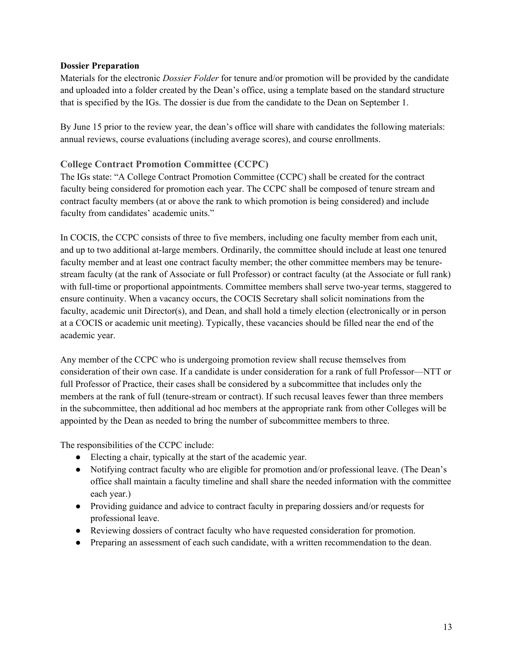#### **Dossier Preparation**

Materials for the electronic *Dossier Folder* for tenure and/or promotion will be provided by the candidate and uploaded into a folder created by the Dean's office, using a template based on the standard structure that is specified by the IGs. The dossier is due from the candidate to the Dean on September 1.

By June 15 prior to the review year, the dean's office will share with candidates the following materials: annual reviews, course evaluations (including average scores), and course enrollments.

#### **College Contract Promotion Committee (CCPC)**

The IGs state: "A College Contract Promotion Committee (CCPC) shall be created for the contract faculty being considered for promotion each year. The CCPC shall be composed of tenure stream and contract faculty members (at or above the rank to which promotion is being considered) and include faculty from candidates' academic units."

In COCIS, the CCPC consists of three to five members, including one faculty member from each unit, and up to two additional at-large members. Ordinarily, the committee should include at least one tenured faculty member and at least one contract faculty member; the other committee members may be tenurestream faculty (at the rank of Associate or full Professor) or contract faculty (at the Associate or full rank) with full-time or proportional appointments. Committee members shall serve two-year terms, staggered to ensure continuity. When a vacancy occurs, the COCIS Secretary shall solicit nominations from the faculty, academic unit Director(s), and Dean, and shall hold a timely election (electronically or in person at a COCIS or academic unit meeting). Typically, these vacancies should be filled near the end of the academic year.

Any member of the CCPC who is undergoing promotion review shall recuse themselves from consideration of their own case. If a candidate is under consideration for a rank of full Professor—NTT or full Professor of Practice, their cases shall be considered by a subcommittee that includes only the members at the rank of full (tenure-stream or contract). If such recusal leaves fewer than three members in the subcommittee, then additional ad hoc members at the appropriate rank from other Colleges will be appointed by the Dean as needed to bring the number of subcommittee members to three.

The responsibilities of the CCPC include:

- Electing a chair, typically at the start of the academic year.
- Notifying contract faculty who are eligible for promotion and/or professional leave. (The Dean's office shall maintain a faculty timeline and shall share the needed information with the committee each year.)
- Providing guidance and advice to contract faculty in preparing dossiers and/or requests for professional leave.
- Reviewing dossiers of contract faculty who have requested consideration for promotion.
- Preparing an assessment of each such candidate, with a written recommendation to the dean.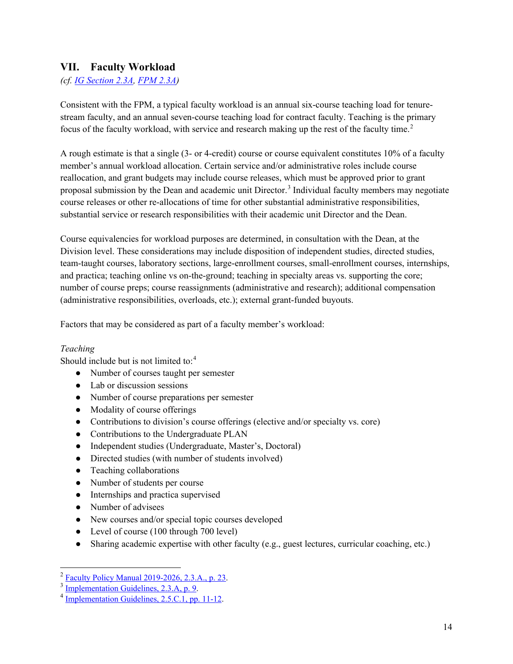# <span id="page-13-0"></span>**VII. Faculty Workload**

#### *(cf. [IG Section 2.3A,](https://internal.simmons.edu/wp-content/uploads/2020/05/Implementation-Guidelines-2020.pdf#page=12) [FPM 2.3A\)](https://internal.simmons.edu/wp-content/uploads/2019/05/FPM.pdf#page=31)*

Consistent with the FPM, a typical faculty workload is an annual six-course teaching load for tenurestream faculty, and an annual seven-course teaching load for contract faculty. Teaching is the primary focus of the faculty workload, with service and research making up the rest of the faculty time.<sup>[2](#page-13-1)</sup>

A rough estimate is that a single (3- or 4-credit) course or course equivalent constitutes 10% of a faculty member's annual workload allocation. Certain service and/or administrative roles include course reallocation, and grant budgets may include course releases, which must be approved prior to grant proposal submission by the Dean and academic unit Director.<sup>[3](#page-13-2)</sup> Individual faculty members may negotiate course releases or other re-allocations of time for other substantial administrative responsibilities, substantial service or research responsibilities with their academic unit Director and the Dean.

Course equivalencies for workload purposes are determined, in consultation with the Dean, at the Division level. These considerations may include disposition of independent studies, directed studies, team-taught courses, laboratory sections, large-enrollment courses, small-enrollment courses, internships, and practica; teaching online vs on-the-ground; teaching in specialty areas vs. supporting the core; number of course preps; course reassignments (administrative and research); additional compensation (administrative responsibilities, overloads, etc.); external grant-funded buyouts.

Factors that may be considered as part of a faculty member's workload:

#### *Teaching*

Should include but is not limited to:<sup>[4](#page-13-3)</sup>

- Number of courses taught per semester
- Lab or discussion sessions
- Number of course preparations per semester
- Modality of course offerings
- Contributions to division's course offerings (elective and/or specialty vs. core)
- Contributions to the Undergraduate PLAN
- Independent studies (Undergraduate, Master's, Doctoral)
- Directed studies (with number of students involved)
- Teaching collaborations
- Number of students per course
- Internships and practica supervised
- Number of advisees
- New courses and/or special topic courses developed
- Level of course (100 through 700 level)
- Sharing academic expertise with other faculty (e.g., guest lectures, curricular coaching, etc.)

<span id="page-13-2"></span><span id="page-13-1"></span> $\frac{2}{3}$  [Faculty Policy Manual 2019-2026, 2.3.A., p. 23.](https://internal.simmons.edu/wp-content/uploads/2019/05/FPM.pdf#page=31)<br> $\frac{3}{4}$  Implementation Guidelines, 2.3.A, p. 9.<br> $\frac{4}{4}$  [Implementation Guidelines, 2.5.C.1, pp. 11-12.](https://internal.simmons.edu/wp-content/uploads/2020/05/Implementation-Guidelines-2020.pdf#page=14)

<span id="page-13-3"></span>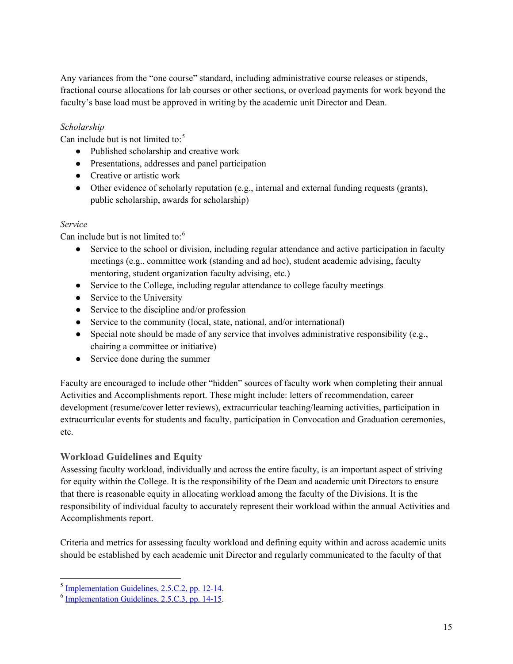Any variances from the "one course" standard, including administrative course releases or stipends, fractional course allocations for lab courses or other sections, or overload payments for work beyond the faculty's base load must be approved in writing by the academic unit Director and Dean.

#### *Scholarship*

Can include but is not limited to:<sup>[5](#page-14-0)</sup>

- Published scholarship and creative work
- Presentations, addresses and panel participation
- Creative or artistic work
- Other evidence of scholarly reputation (e.g., internal and external funding requests (grants), public scholarship, awards for scholarship)

#### *Service*

Can include but is not limited to:<sup>[6](#page-14-1)</sup>

- Service to the school or division, including regular attendance and active participation in faculty meetings (e.g., committee work (standing and ad hoc), student academic advising, faculty mentoring, student organization faculty advising, etc.)
- Service to the College, including regular attendance to college faculty meetings
- Service to the University
- Service to the discipline and/or profession
- Service to the community (local, state, national, and/or international)
- $\bullet$  Special note should be made of any service that involves administrative responsibility (e.g., chairing a committee or initiative)
- Service done during the summer

Faculty are encouraged to include other "hidden" sources of faculty work when completing their annual Activities and Accomplishments report. These might include: letters of recommendation, career development (resume/cover letter reviews), extracurricular teaching/learning activities, participation in extracurricular events for students and faculty, participation in Convocation and Graduation ceremonies, etc.

#### **Workload Guidelines and Equity**

Assessing faculty workload, individually and across the entire faculty, is an important aspect of striving for equity within the College. It is the responsibility of the Dean and academic unit Directors to ensure that there is reasonable equity in allocating workload among the faculty of the Divisions. It is the responsibility of individual faculty to accurately represent their workload within the annual Activities and Accomplishments report.

Criteria and metrics for assessing faculty workload and defining equity within and across academic units should be established by each academic unit Director and regularly communicated to the faculty of that

<span id="page-14-0"></span> $^5$  [Implementation Guidelines, 2.5.C.2, pp. 12-14.](https://internal.simmons.edu/wp-content/uploads/2020/05/Implementation-Guidelines-2020.pdf#page=15)<br> $^6$  [Implementation Guidelines, 2.5.C.3, pp. 14-15.](https://internal.simmons.edu/wp-content/uploads/2020/05/Implementation-Guidelines-2020.pdf#page=17)

<span id="page-14-1"></span>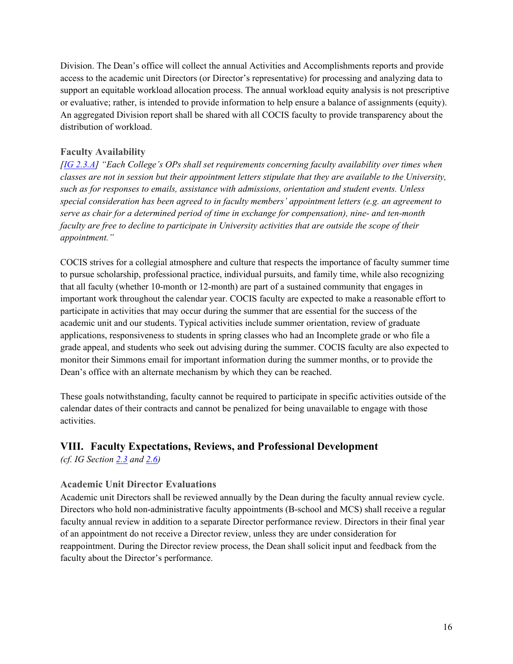<span id="page-15-0"></span>Division. The Dean's office will collect the annual Activities and Accomplishments reports and provide access to the academic unit Directors (or Director's representative) for processing and analyzing data to support an equitable workload allocation process. The annual workload equity analysis is not prescriptive or evaluative; rather, is intended to provide information to help ensure a balance of assignments (equity). An aggregated Division report shall be shared with all COCIS faculty to provide transparency about the distribution of workload.

#### **Faculty Availability**

*[\[IG 2.3.A\]](https://internal.simmons.edu/wp-content/uploads/2020/05/Implementation-Guidelines-2020.pdf#page=12) "Each College's OPs shall set requirements concerning faculty availability over times when classes are not in session but their appointment letters stipulate that they are available to the University, such as for responses to emails, assistance with admissions, orientation and student events. Unless special consideration has been agreed to in faculty members' appointment letters (e.g. an agreement to serve as chair for a determined period of time in exchange for compensation), nine- and ten-month faculty are free to decline to participate in University activities that are outside the scope of their appointment."*

COCIS strives for a collegial atmosphere and culture that respects the importance of faculty summer time to pursue scholarship, professional practice, individual pursuits, and family time, while also recognizing that all faculty (whether 10-month or 12-month) are part of a sustained community that engages in important work throughout the calendar year. COCIS faculty are expected to make a reasonable effort to participate in activities that may occur during the summer that are essential for the success of the academic unit and our students. Typical activities include summer orientation, review of graduate applications, responsiveness to students in spring classes who had an Incomplete grade or who file a grade appeal, and students who seek out advising during the summer. COCIS faculty are also expected to monitor their Simmons email for important information during the summer months, or to provide the Dean's office with an alternate mechanism by which they can be reached.

These goals notwithstanding, faculty cannot be required to participate in specific activities outside of the calendar dates of their contracts and cannot be penalized for being unavailable to engage with those activities.

# **VIII. Faculty Expectations, Reviews, and Professional Development**

*(cf. IG Section [2.3](https://internal.simmons.edu/wp-content/uploads/2020/05/Implementation-Guidelines-2020.pdf#page=12) and [2.6\)](https://internal.simmons.edu/wp-content/uploads/2020/05/Implementation-Guidelines-2020.pdf#page=27)* 

#### **Academic Unit Director Evaluations**

Academic unit Directors shall be reviewed annually by the Dean during the faculty annual review cycle. Directors who hold non-administrative faculty appointments (B-school and MCS) shall receive a regular faculty annual review in addition to a separate Director performance review. Directors in their final year of an appointment do not receive a Director review, unless they are under consideration for reappointment. During the Director review process, the Dean shall solicit input and feedback from the faculty about the Director's performance.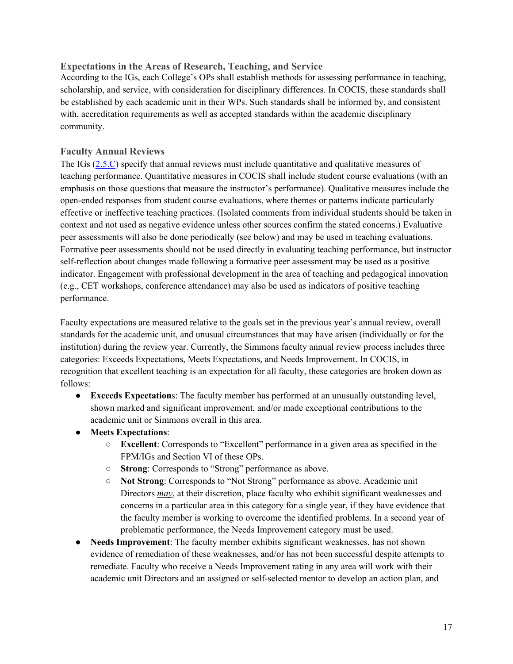#### **Expectations in the Areas of Research, Teaching, and Service**

According to the IGs, each College's OPs shall establish methods for assessing performance in teaching, scholarship, and service, with consideration for disciplinary differences. In COCIS, these standards shall be established by each academic unit in their WPs. Such standards shall be informed by, and consistent with, accreditation requirements as well as accepted standards within the academic disciplinary community.

#### **Faculty Annual Reviews**

The IGs [\(2.5.C\)](https://internal.simmons.edu/wp-content/uploads/2020/05/Implementation-Guidelines-2020.pdf#page=14) specify that annual reviews must include quantitative and qualitative measures of teaching performance. Quantitative measures in COCIS shall include student course evaluations (with an emphasis on those questions that measure the instructor's performance). Qualitative measures include the open-ended responses from student course evaluations, where themes or patterns indicate particularly effective or ineffective teaching practices. (Isolated comments from individual students should be taken in context and not used as negative evidence unless other sources confirm the stated concerns.) Evaluative peer assessments will also be done periodically (see below) and may be used in teaching evaluations. Formative peer assessments should not be used directly in evaluating teaching performance, but instructor self-reflection about changes made following a formative peer assessment may be used as a positive indicator. Engagement with professional development in the area of teaching and pedagogical innovation (e.g., CET workshops, conference attendance) may also be used as indicators of positive teaching performance.

Faculty expectations are measured relative to the goals set in the previous year's annual review, overall standards for the academic unit, and unusual circumstances that may have arisen (individually or for the institution) during the review year. Currently, the Simmons faculty annual review process includes three categories: Exceeds Expectations, Meets Expectations, and Needs Improvement. In COCIS, in recognition that excellent teaching is an expectation for all faculty, these categories are broken down as follows:

- **Exceeds Expectation**s: The faculty member has performed at an unusually outstanding level, shown marked and significant improvement, and/or made exceptional contributions to the academic unit or Simmons overall in this area.
- **Meets Expectations**:
	- **Excellent**: Corresponds to "Excellent" performance in a given area as specified in the FPM/IGs and Section VI of these OPs.
	- **Strong**: Corresponds to "Strong" performance as above.
	- **Not Strong**: Corresponds to "Not Strong" performance as above. Academic unit Directors *may*, at their discretion, place faculty who exhibit significant weaknesses and concerns in a particular area in this category for a single year, if they have evidence that the faculty member is working to overcome the identified problems. In a second year of problematic performance, the Needs Improvement category must be used.
- **Needs Improvement**: The faculty member exhibits significant weaknesses, has not shown evidence of remediation of these weaknesses, and/or has not been successful despite attempts to remediate. Faculty who receive a Needs Improvement rating in any area will work with their academic unit Directors and an assigned or self-selected mentor to develop an action plan, and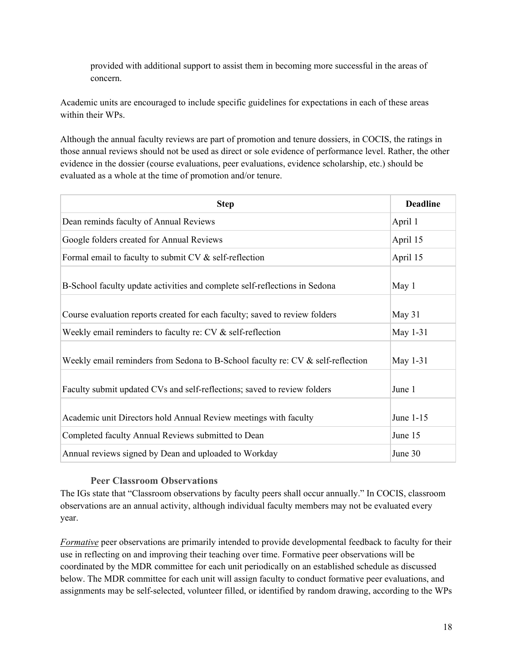provided with additional support to assist them in becoming more successful in the areas of concern.

Academic units are encouraged to include specific guidelines for expectations in each of these areas within their WPs.

Although the annual faculty reviews are part of promotion and tenure dossiers, in COCIS, the ratings in those annual reviews should not be used as direct or sole evidence of performance level. Rather, the other evidence in the dossier (course evaluations, peer evaluations, evidence scholarship, etc.) should be evaluated as a whole at the time of promotion and/or tenure.

| <b>Step</b>                                                                       | <b>Deadline</b> |
|-----------------------------------------------------------------------------------|-----------------|
| Dean reminds faculty of Annual Reviews                                            | April 1         |
| Google folders created for Annual Reviews                                         | April 15        |
| Formal email to faculty to submit CV & self-reflection                            | April 15        |
| B-School faculty update activities and complete self-reflections in Sedona        | May 1           |
| Course evaluation reports created for each faculty; saved to review folders       | May 31          |
| Weekly email reminders to faculty re: CV & self-reflection                        | May 1-31        |
| Weekly email reminders from Sedona to B-School faculty re: $CV &$ self-reflection | May 1-31        |
| Faculty submit updated CVs and self-reflections; saved to review folders          | June 1          |
| Academic unit Directors hold Annual Review meetings with faculty                  | June 1-15       |
| Completed faculty Annual Reviews submitted to Dean                                | June 15         |
| Annual reviews signed by Dean and uploaded to Workday                             | June 30         |

#### **Peer Classroom Observations**

The IGs state that "Classroom observations by faculty peers shall occur annually." In COCIS, classroom observations are an annual activity, although individual faculty members may not be evaluated every year.

*Formative* peer observations are primarily intended to provide developmental feedback to faculty for their use in reflecting on and improving their teaching over time. Formative peer observations will be coordinated by the MDR committee for each unit periodically on an established schedule as discussed below. The MDR committee for each unit will assign faculty to conduct formative peer evaluations, and assignments may be self-selected, volunteer filled, or identified by random drawing, according to the WPs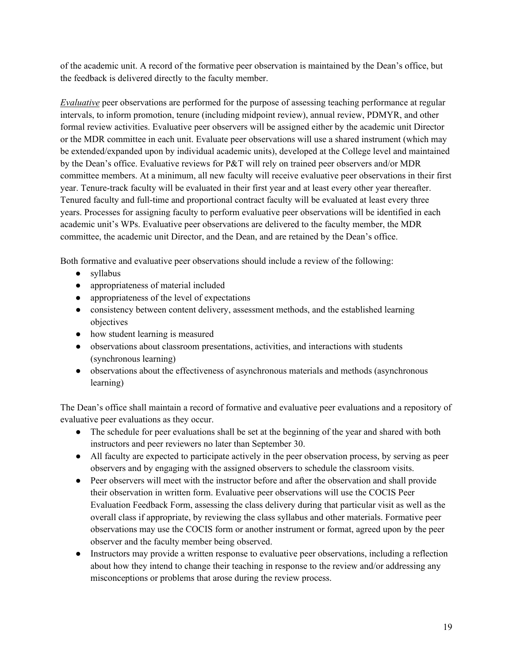of the academic unit. A record of the formative peer observation is maintained by the Dean's office, but the feedback is delivered directly to the faculty member.

*Evaluative* peer observations are performed for the purpose of assessing teaching performance at regular intervals, to inform promotion, tenure (including midpoint review), annual review, PDMYR, and other formal review activities. Evaluative peer observers will be assigned either by the academic unit Director or the MDR committee in each unit. Evaluate peer observations will use a shared instrument (which may be extended/expanded upon by individual academic units), developed at the College level and maintained by the Dean's office. Evaluative reviews for P&T will rely on trained peer observers and/or MDR committee members. At a minimum, all new faculty will receive evaluative peer observations in their first year. Tenure-track faculty will be evaluated in their first year and at least every other year thereafter. Tenured faculty and full-time and proportional contract faculty will be evaluated at least every three years. Processes for assigning faculty to perform evaluative peer observations will be identified in each academic unit's WPs. Evaluative peer observations are delivered to the faculty member, the MDR committee, the academic unit Director, and the Dean, and are retained by the Dean's office.

Both formative and evaluative peer observations should include a review of the following:

- syllabus
- appropriateness of material included
- appropriateness of the level of expectations
- consistency between content delivery, assessment methods, and the established learning objectives
- how student learning is measured
- observations about classroom presentations, activities, and interactions with students (synchronous learning)
- observations about the effectiveness of asynchronous materials and methods (asynchronous learning)

The Dean's office shall maintain a record of formative and evaluative peer evaluations and a repository of evaluative peer evaluations as they occur.

- The schedule for peer evaluations shall be set at the beginning of the year and shared with both instructors and peer reviewers no later than September 30.
- All faculty are expected to participate actively in the peer observation process, by serving as peer observers and by engaging with the assigned observers to schedule the classroom visits.
- Peer observers will meet with the instructor before and after the observation and shall provide their observation in written form. Evaluative peer observations will use the COCIS Peer Evaluation Feedback Form, assessing the class delivery during that particular visit as well as the overall class if appropriate, by reviewing the class syllabus and other materials. Formative peer observations may use the COCIS form or another instrument or format, agreed upon by the peer observer and the faculty member being observed.
- Instructors may provide a written response to evaluative peer observations, including a reflection about how they intend to change their teaching in response to the review and/or addressing any misconceptions or problems that arose during the review process.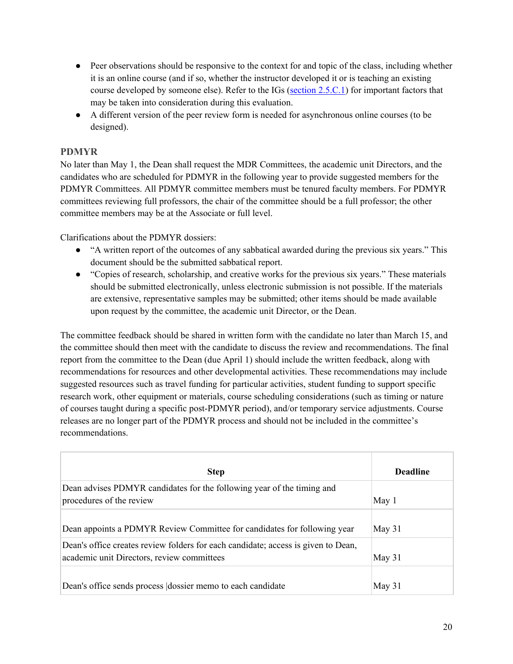- Peer observations should be responsive to the context for and topic of the class, including whether it is an online course (and if so, whether the instructor developed it or is teaching an existing course developed by someone else). Refer to the IGs [\(section 2.5.C.1\)](https://internal.simmons.edu/wp-content/uploads/2020/05/Implementation-Guidelines-2020.pdf#page=14) for important factors that may be taken into consideration during this evaluation.
- A different version of the peer review form is needed for asynchronous online courses (to be designed).

# **PDMYR**

No later than May 1, the Dean shall request the MDR Committees, the academic unit Directors, and the candidates who are scheduled for PDMYR in the following year to provide suggested members for the PDMYR Committees. All PDMYR committee members must be tenured faculty members. For PDMYR committees reviewing full professors, the chair of the committee should be a full professor; the other committee members may be at the Associate or full level.

Clarifications about the PDMYR dossiers:

- "A written report of the outcomes of any sabbatical awarded during the previous six years." This document should be the submitted sabbatical report.
- "Copies of research, scholarship, and creative works for the previous six years." These materials should be submitted electronically, unless electronic submission is not possible. If the materials are extensive, representative samples may be submitted; other items should be made available upon request by the committee, the academic unit Director, or the Dean.

The committee feedback should be shared in written form with the candidate no later than March 15, and the committee should then meet with the candidate to discuss the review and recommendations. The final report from the committee to the Dean (due April 1) should include the written feedback, along with recommendations for resources and other developmental activities. These recommendations may include suggested resources such as travel funding for particular activities, student funding to support specific research work, other equipment or materials, course scheduling considerations (such as timing or nature of courses taught during a specific post-PDMYR period), and/or temporary service adjustments. Course releases are no longer part of the PDMYR process and should not be included in the committee's recommendations.

| <b>Step</b>                                                                                                                     | <b>Deadline</b> |
|---------------------------------------------------------------------------------------------------------------------------------|-----------------|
| Dean advises PDMYR candidates for the following year of the timing and<br>procedures of the review                              | May 1           |
| Dean appoints a PDMYR Review Committee for candidates for following year                                                        | May 31          |
| Dean's office creates review folders for each candidate; access is given to Dean,<br>academic unit Directors, review committees | May 31          |
| Dean's office sends process dossier memo to each candidate                                                                      | May 31          |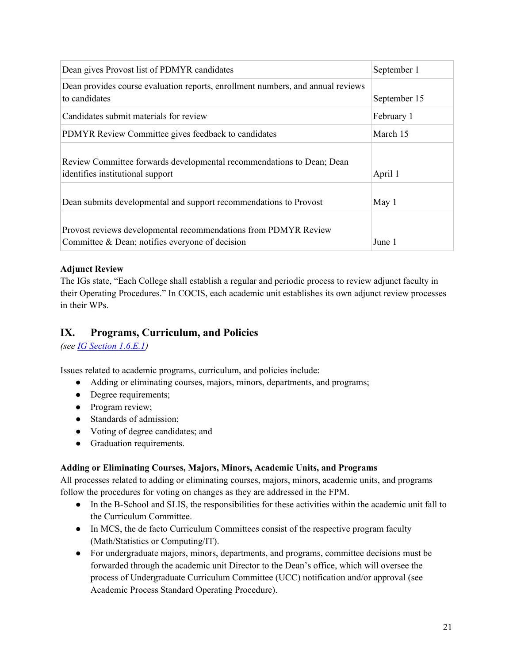<span id="page-20-0"></span>

| Dean gives Provost list of PDMYR candidates                                                                        | September 1  |
|--------------------------------------------------------------------------------------------------------------------|--------------|
| Dean provides course evaluation reports, enrollment numbers, and annual reviews<br>to candidates                   | September 15 |
| Candidates submit materials for review                                                                             | February 1   |
| PDMYR Review Committee gives feedback to candidates                                                                | March 15     |
| Review Committee forwards developmental recommendations to Dean; Dean<br>identifies institutional support          | April 1      |
| Dean submits developmental and support recommendations to Provost                                                  | May 1        |
| Provost reviews developmental recommendations from PDMYR Review<br>Committee & Dean; notifies everyone of decision | June 1       |

#### **Adjunct Review**

The IGs state, "Each College shall establish a regular and periodic process to review adjunct faculty in their Operating Procedures." In COCIS, each academic unit establishes its own adjunct review processes in their WPs.

# **IX. Programs, Curriculum, and Policies**

*(see [IG Section 1.6.E.1\)](https://internal.simmons.edu/wp-content/uploads/2020/05/Implementation-Guidelines-2020.pdf#page=5)* 

Issues related to academic programs, curriculum, and policies include:

- Adding or eliminating courses, majors, minors, departments, and programs;
- Degree requirements;
- Program review;
- Standards of admission;
- Voting of degree candidates; and
- Graduation requirements.

#### **Adding or Eliminating Courses, Majors, Minors, Academic Units, and Programs**

All processes related to adding or eliminating courses, majors, minors, academic units, and programs follow the procedures for voting on changes as they are addressed in the FPM.

- In the B-School and SLIS, the responsibilities for these activities within the academic unit fall to the Curriculum Committee.
- In MCS, the de facto Curriculum Committees consist of the respective program faculty (Math/Statistics or Computing/IT).
- For undergraduate majors, minors, departments, and programs, committee decisions must be forwarded through the academic unit Director to the Dean's office, which will oversee the process of Undergraduate Curriculum Committee (UCC) notification and/or approval (see Academic Process Standard Operating Procedure).